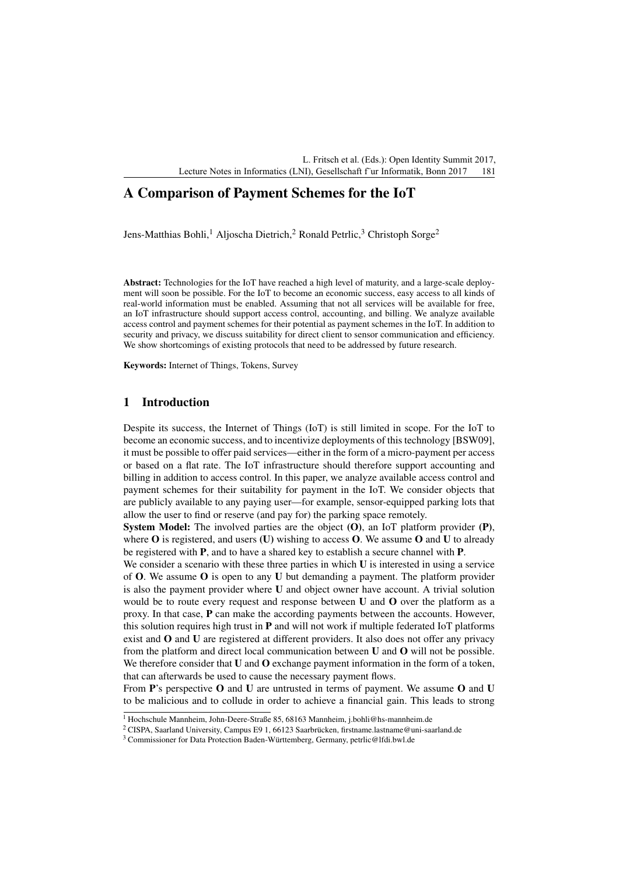L. Fritsch et al. (Eds.): Open Identity Summit 2017, Lecture Notes in Informatics (LNI), Gesellschaft f`ur Informatik, Bonn 2017 181

# A Comparison of Payment Schemes for the IoT

Jens-Matthias Bohli,<sup>1</sup> Aljoscha Dietrich,<sup>2</sup> Ronald Petrlic,<sup>3</sup> Christoph Sorge<sup>2</sup>

Abstract: Technologies for the IoT have reached a high level of maturity, and a large-scale deployment will soon be possible. For the IoT to become an economic success, easy access to all kinds of real-world information must be enabled. Assuming that not all services will be available for free, an IoT infrastructure should support access control, accounting, and billing. We analyze available access control and payment schemes for their potential as payment schemes in the IoT. In addition to security and privacy, we discuss suitability for direct client to sensor communication and efficiency. We show shortcomings of existing protocols that need to be addressed by future research.

Keywords: Internet of Things, Tokens, Survey

# 1 Introduction

Despite its success, the Internet of Things (IoT) is still limited in scope. For the IoT to become an economic success, and to incentivize deployments of this technology [BSW09], it must be possible to offer paid services—either in the form of a micro-payment per access or based on a flat rate. The IoT infrastructure should therefore support accounting and billing in addition to access control. In this paper, we analyze available access control and payment schemes for their suitability for payment in the IoT. We consider objects that are publicly available to any paying user—for example, sensor-equipped parking lots that allow the user to find or reserve (and pay for) the parking space remotely.

**System Model:** The involved parties are the object  $(O)$ , an IoT platform provider  $(P)$ , where  $O$  is registered, and users (U) wishing to access  $O$ . We assume  $O$  and U to already be registered with P, and to have a shared key to establish a secure channel with P.

We consider a scenario with these three parties in which  $U$  is interested in using a service of  $O$ . We assume  $O$  is open to any U but demanding a payment. The platform provider is also the payment provider where U and object owner have account. A trivial solution would be to route every request and response between  **and**  $**O**$  **over the platform as a** proxy. In that case, P can make the according payments between the accounts. However, this solution requires high trust in  $P$  and will not work if multiple federated IoT platforms exist and O and U are registered at different providers. It also does not offer any privacy from the platform and direct local communication between  $U$  and  $O$  will not be possible. We therefore consider that  $U$  and  $O$  exchange payment information in the form of a token, that can afterwards be used to cause the necessary payment flows.

From P's perspective O and U are untrusted in terms of payment. We assume O and U to be malicious and to collude in order to achieve a financial gain. This leads to strong

<sup>1</sup> Hochschule Mannheim, John-Deere-Straße 85, 68163 Mannheim, j.bohli@hs-mannheim.de

<sup>&</sup>lt;sup>2</sup> CISPA, Saarland University, Campus E9 1, 66123 Saarbrücken, firstname.lastname@uni-saarland.de

<sup>&</sup>lt;sup>3</sup> Commissioner for Data Protection Baden-Württemberg, Germany, petrlic@lfdi.bwl.de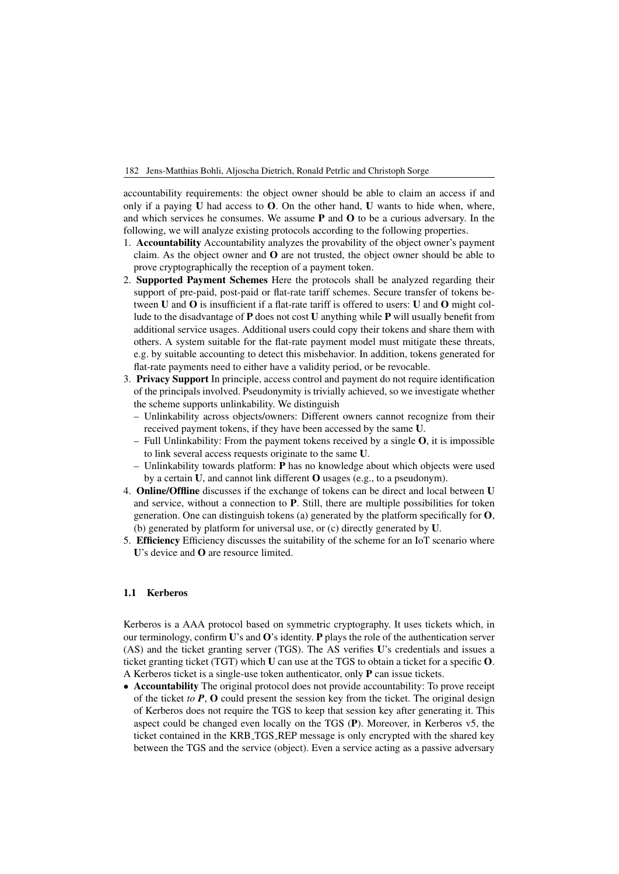182 Jens-Matthias Bohli, Aljoscha Dietrich, Ronald Petrlic and Christoph Sorge

accountability requirements: the object owner should be able to claim an access if and only if a paying  **had access to**  $**O**$ **. On the other hand,**  $**U**$  **wants to hide when, where,** and which services he consumes. We assume  $P$  and  $O$  to be a curious adversary. In the following, we will analyze existing protocols according to the following properties.

- 1. Accountability Accountability analyzes the provability of the object owner's payment claim. As the object owner and O are not trusted, the object owner should be able to prove cryptographically the reception of a payment token.
- 2. Supported Payment Schemes Here the protocols shall be analyzed regarding their support of pre-paid, post-paid or flat-rate tariff schemes. Secure transfer of tokens between U and O is insufficient if a flat-rate tariff is offered to users: U and O might collude to the disadvantage of P does not cost U anything while P will usually benefit from additional service usages. Additional users could copy their tokens and share them with others. A system suitable for the flat-rate payment model must mitigate these threats, e.g. by suitable accounting to detect this misbehavior. In addition, tokens generated for flat-rate payments need to either have a validity period, or be revocable.
- 3. Privacy Support In principle, access control and payment do not require identification of the principals involved. Pseudonymity is trivially achieved, so we investigate whether the scheme supports unlinkability. We distinguish
	- Unlinkability across objects/owners: Different owners cannot recognize from their received payment tokens, if they have been accessed by the same U.
	- Full Unlinkability: From the payment tokens received by a single  $O$ , it is impossible to link several access requests originate to the same U.
	- Unlinkability towards platform: P has no knowledge about which objects were used by a certain U, and cannot link different O usages (e.g., to a pseudonym).
- 4. Online/Offline discusses if the exchange of tokens can be direct and local between U and service, without a connection to P. Still, there are multiple possibilities for token generation. One can distinguish tokens (a) generated by the platform specifically for  $O$ , (b) generated by platform for universal use, or (c) directly generated by U.
- 5. Efficiency Efficiency discusses the suitability of the scheme for an IoT scenario where U's device and **O** are resource limited.

### 1.1 Kerberos

Kerberos is a AAA protocol based on symmetric cryptography. It uses tickets which, in our terminology, confirm  $\mathbf{U}'s$  and  $\mathbf{O}'s$  identity. P plays the role of the authentication server (AS) and the ticket granting server (TGS). The AS verifies U's credentials and issues a ticket granting ticket (TGT) which U can use at the TGS to obtain a ticket for a specific O. A Kerberos ticket is a single-use token authenticator, only P can issue tickets.

• Accountability The original protocol does not provide accountability: To prove receipt of the ticket *to P*, O could present the session key from the ticket. The original design of Kerberos does not require the TGS to keep that session key after generating it. This aspect could be changed even locally on the TGS (P). Moreover, in Kerberos v5, the ticket contained in the KRB TGS REP message is only encrypted with the shared key between the TGS and the service (object). Even a service acting as a passive adversary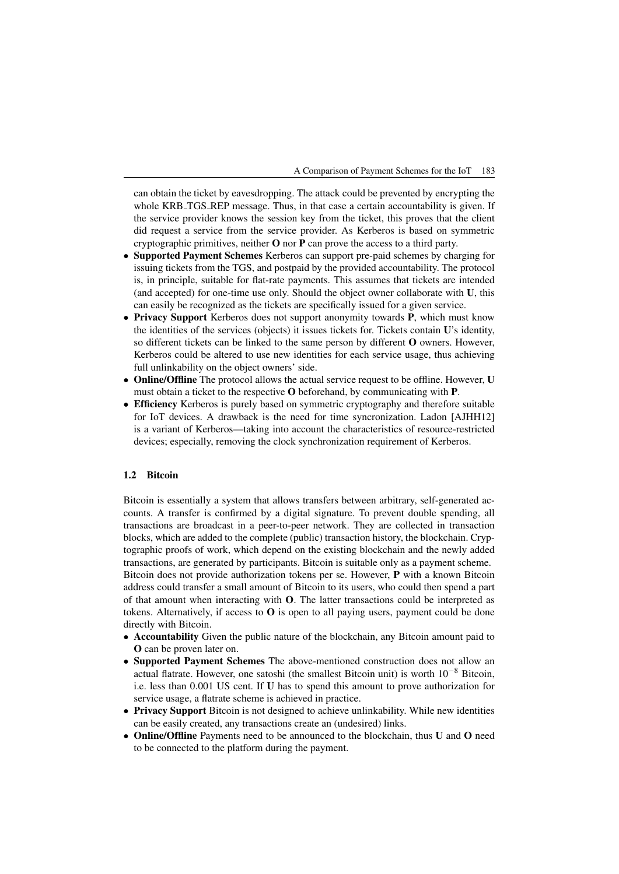A Comparison of Payment Schemes for the IoT 183

can obtain the ticket by eavesdropping. The attack could be prevented by encrypting the whole KRB\_TGS\_REP message. Thus, in that case a certain accountability is given. If the service provider knows the session key from the ticket, this proves that the client did request a service from the service provider. As Kerberos is based on symmetric cryptographic primitives, neither  $O$  nor  $P$  can prove the access to a third party.

- Supported Payment Schemes Kerberos can support pre-paid schemes by charging for issuing tickets from the TGS, and postpaid by the provided accountability. The protocol is, in principle, suitable for flat-rate payments. This assumes that tickets are intended (and accepted) for one-time use only. Should the object owner collaborate with U, this can easily be recognized as the tickets are specifically issued for a given service.
- Privacy Support Kerberos does not support anonymity towards P, which must know the identities of the services (objects) it issues tickets for. Tickets contain U's identity, so different tickets can be linked to the same person by different O owners. However, Kerberos could be altered to use new identities for each service usage, thus achieving full unlinkability on the object owners' side.
- Online/Offline The protocol allows the actual service request to be offline. However, U must obtain a ticket to the respective O beforehand, by communicating with P.
- Efficiency Kerberos is purely based on symmetric cryptography and therefore suitable for IoT devices. A drawback is the need for time syncronization. Ladon [AJHH12] is a variant of Kerberos—taking into account the characteristics of resource-restricted devices; especially, removing the clock synchronization requirement of Kerberos.

# 1.2 Bitcoin

Bitcoin is essentially a system that allows transfers between arbitrary, self-generated accounts. A transfer is confirmed by a digital signature. To prevent double spending, all transactions are broadcast in a peer-to-peer network. They are collected in transaction blocks, which are added to the complete (public) transaction history, the blockchain. Cryptographic proofs of work, which depend on the existing blockchain and the newly added transactions, are generated by participants. Bitcoin is suitable only as a payment scheme. Bitcoin does not provide authorization tokens per se. However, P with a known Bitcoin address could transfer a small amount of Bitcoin to its users, who could then spend a part of that amount when interacting with O. The latter transactions could be interpreted as tokens. Alternatively, if access to  $\bf{O}$  is open to all paying users, payment could be done directly with Bitcoin.

- Accountability Given the public nature of the blockchain, any Bitcoin amount paid to O can be proven later on.
- Supported Payment Schemes The above-mentioned construction does not allow an actual flatrate. However, one satoshi (the smallest Bitcoin unit) is worth  $10^{-8}$  Bitcoin, i.e. less than 0.001 US cent. If U has to spend this amount to prove authorization for service usage, a flatrate scheme is achieved in practice.
- Privacy Support Bitcoin is not designed to achieve unlinkability. While new identities can be easily created, any transactions create an (undesired) links.
- Online/Offline Payments need to be announced to the blockchain, thus U and O need to be connected to the platform during the payment.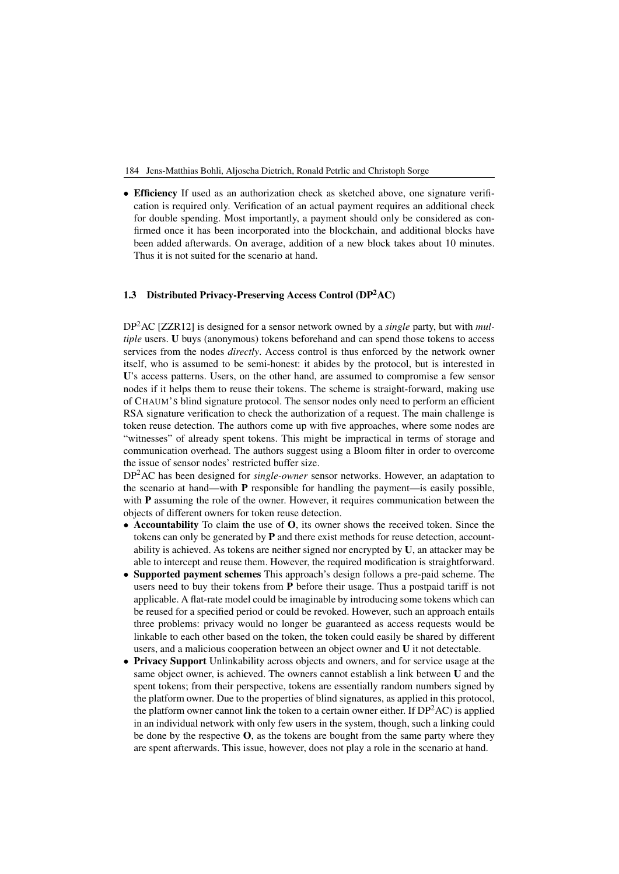184 Jens-Matthias Bohli, Aljoscha Dietrich, Ronald Petrlic and Christoph Sorge

• Efficiency If used as an authorization check as sketched above, one signature verification is required only. Verification of an actual payment requires an additional check for double spending. Most importantly, a payment should only be considered as confirmed once it has been incorporated into the blockchain, and additional blocks have been added afterwards. On average, addition of a new block takes about 10 minutes. Thus it is not suited for the scenario at hand.

#### 1.3 Distributed Privacy-Preserving Access Control (DP2AC)

DP2AC [ZZR12] is designed for a sensor network owned by a *single* party, but with *multiple* users. U buys (anonymous) tokens beforehand and can spend those tokens to access services from the nodes *directly*. Access control is thus enforced by the network owner itself, who is assumed to be semi-honest: it abides by the protocol, but is interested in U's access patterns. Users, on the other hand, are assumed to compromise a few sensor nodes if it helps them to reuse their tokens. The scheme is straight-forward, making use of CHAUM'S blind signature protocol. The sensor nodes only need to perform an efficient RSA signature verification to check the authorization of a request. The main challenge is token reuse detection. The authors come up with five approaches, where some nodes are "witnesses" of already spent tokens. This might be impractical in terms of storage and communication overhead. The authors suggest using a Bloom filter in order to overcome the issue of sensor nodes' restricted buffer size.

DP2AC has been designed for *single-owner* sensor networks. However, an adaptation to the scenario at hand—with  $P$  responsible for handling the payment—is easily possible, with **P** assuming the role of the owner. However, it requires communication between the objects of different owners for token reuse detection.

- Accountability To claim the use of O, its owner shows the received token. Since the tokens can only be generated by P and there exist methods for reuse detection, accountability is achieved. As tokens are neither signed nor encrypted by U, an attacker may be able to intercept and reuse them. However, the required modification is straightforward.
- Supported payment schemes This approach's design follows a pre-paid scheme. The users need to buy their tokens from  $P$  before their usage. Thus a postpaid tariff is not applicable. A flat-rate model could be imaginable by introducing some tokens which can be reused for a specified period or could be revoked. However, such an approach entails three problems: privacy would no longer be guaranteed as access requests would be linkable to each other based on the token, the token could easily be shared by different users, and a malicious cooperation between an object owner and U it not detectable.
- Privacy Support Unlinkability across objects and owners, and for service usage at the same object owner, is achieved. The owners cannot establish a link between U and the spent tokens; from their perspective, tokens are essentially random numbers signed by the platform owner. Due to the properties of blind signatures, as applied in this protocol, the platform owner cannot link the token to a certain owner either. If  $DP<sup>2</sup>AC$  is applied in an individual network with only few users in the system, though, such a linking could be done by the respective  $O$ , as the tokens are bought from the same party where they are spent afterwards. This issue, however, does not play a role in the scenario at hand.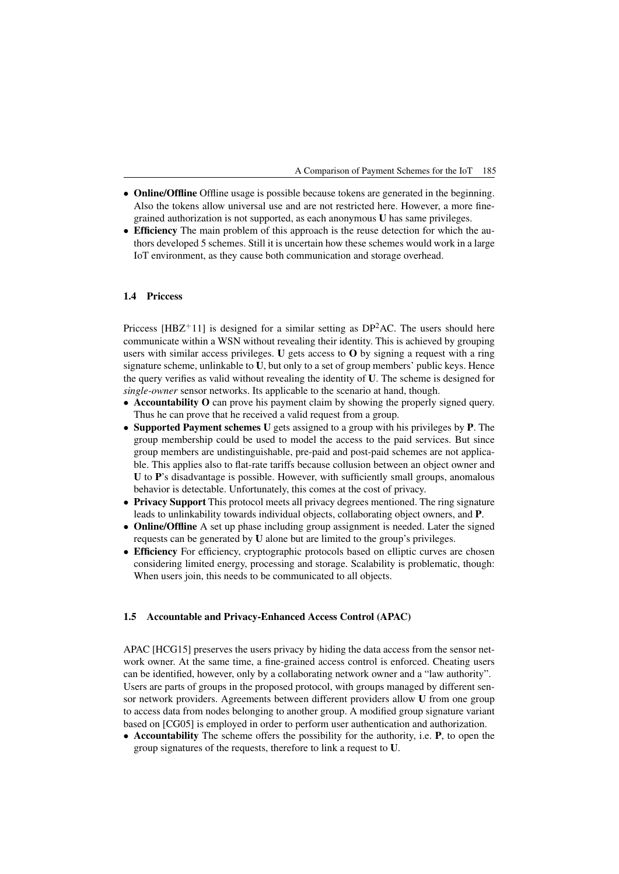A Comparison of Payment Schemes for the IoT 185

- Online/Offline Offline usage is possible because tokens are generated in the beginning. Also the tokens allow universal use and are not restricted here. However, a more finegrained authorization is not supported, as each anonymous U has same privileges.
- Efficiency The main problem of this approach is the reuse detection for which the authors developed 5 schemes. Still it is uncertain how these schemes would work in a large IoT environment, as they cause both communication and storage overhead.

#### 1.4 Priccess

Priccess [HBZ<sup>+</sup>11] is designed for a similar setting as  $DP<sup>2</sup>AC$ . The users should here communicate within a WSN without revealing their identity. This is achieved by grouping users with similar access privileges. U gets access to  $O$  by signing a request with a ring signature scheme, unlinkable to **, but only to a set of group members' public keys. Hence** the query verifies as valid without revealing the identity of U. The scheme is designed for *single-owner* sensor networks. Its applicable to the scenario at hand, though.

- Accountability O can prove his payment claim by showing the properly signed query. Thus he can prove that he received a valid request from a group.
- Supported Payment schemes U gets assigned to a group with his privileges by P. The group membership could be used to model the access to the paid services. But since group members are undistinguishable, pre-paid and post-paid schemes are not applicable. This applies also to flat-rate tariffs because collusion between an object owner and U to P's disadvantage is possible. However, with sufficiently small groups, anomalous behavior is detectable. Unfortunately, this comes at the cost of privacy.
- Privacy Support This protocol meets all privacy degrees mentioned. The ring signature leads to unlinkability towards individual objects, collaborating object owners, and P.
- Online/Offline A set up phase including group assignment is needed. Later the signed requests can be generated by U alone but are limited to the group's privileges.
- Efficiency For efficiency, cryptographic protocols based on elliptic curves are chosen considering limited energy, processing and storage. Scalability is problematic, though: When users join, this needs to be communicated to all objects.

#### 1.5 Accountable and Privacy-Enhanced Access Control (APAC)

APAC [HCG15] preserves the users privacy by hiding the data access from the sensor network owner. At the same time, a fine-grained access control is enforced. Cheating users can be identified, however, only by a collaborating network owner and a "law authority". Users are parts of groups in the proposed protocol, with groups managed by different sensor network providers. Agreements between different providers allow U from one group to access data from nodes belonging to another group. A modified group signature variant based on [CG05] is employed in order to perform user authentication and authorization.

• Accountability The scheme offers the possibility for the authority, i.e. **P**, to open the group signatures of the requests, therefore to link a request to U.